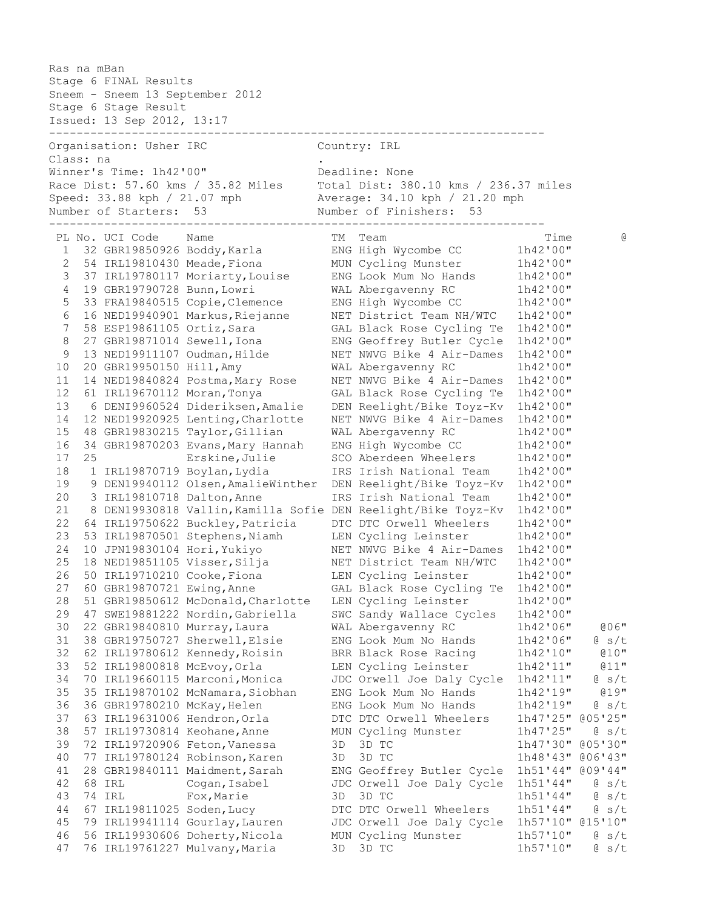Ras na mBan Stage 6 FINAL Results Sneem - Sneem 13 September 2012 Stage 6 Stage Result Issued: 13 Sep 2012, 13:17 ------------------------------------------------------------------------ Organisation: Usher IRC Country: IRL Class: na . Winner's Time: 1h42'00" Deadline: None Race Dist: 57.60 kms / 35.82 Miles Total Dist: 380.10 kms / 236.37 miles Speed: 33.88 kph / 21.07 mph Average: 34.10 kph / 21.20 mph Number of Starters: 53 Number of Finishers: 53 ------------------------------------------------------------------------ PL No. UCI Code Name  $T$ M Team  $T$  and  $T$  and  $T$  ime  $\Theta$  1 32 GBR19850926 Boddy,Karla ENG High Wycombe CC 1h42'00" 2 54 IRL19810430 Meade,Fiona MUN Cycling Munster 1h42'00" 3 37 IRL19780117 Moriarty,Louise ENG Look Mum No Hands 1h42'00" 4 19 GBR19790728 Bunn,Lowri WAL Abergavenny RC 1h42'00" 5 33 FRA19840515 Copie,Clemence ENG High Wycombe CC 1h42'00" 6 16 NED19940901 Markus,Riejanne NET District Team NH/WTC 1h42'00" 7 58 ESP19861105 Ortiz,Sara GAL Black Rose Cycling Te 1h42'00" 8 27 GBR19871014 Sewell,Iona ENG Geoffrey Butler Cycle 1h42'00" 9 13 NED19911107 Oudman, Hilde NET NWVG Bike 4 Air-Dames 1h42'00" 10 20 GBR19950150 Hill,Amy WAL Abergavenny RC 1h42'00" 11 14 NED19840824 Postma,Mary Rose NET NWVG Bike 4 Air-Dames 1h42'00" 12 61 IRL19670112 Moran,Tonya GAL Black Rose Cycling Te 1h42'00" 13 6 DENI9960524 Dideriksen,Amalie DEN Reelight/Bike Toyz-Kv 1h42'00" 14 12 NED19920925 Lenting,Charlotte NET NWVG Bike 4 Air-Dames 1h42'00" 15 48 GBR19830215 Taylor,Gillian WAL Abergavenny RC 1h42'00" 16 34 GBR19870203 Evans,Mary Hannah ENG High Wycombe CC 1h42'00" 17 25 Erskine,Julie SCO Aberdeen Wheelers 1h42'00" 18 1 IRL19870719 Boylan,Lydia IRS Irish National Team 1h42'00" 19 9 DEN19940112 Olsen,AmalieWinther DEN Reelight/Bike Toyz-Kv 1h42'00" 20 3 IRL19810718 Dalton,Anne IRS Irish National Team 1h42'00" 21 8 DEN19930818 Vallin,Kamilla Sofie DEN Reelight/Bike Toyz-Kv 1h42'00" 22 64 IRL19750622 Buckley,Patricia DTC DTC Orwell Wheelers 1h42'00" 23 53 IRL19870501 Stephens,Niamh LEN Cycling Leinster 1h42'00" 24 10 JPN19830104 Hori,Yukiyo NET NWVG Bike 4 Air-Dames 1h42'00" 25 18 NED19851105 Visser,Silja NET District Team NH/WTC 1h42'00" 26 50 IRL19710210 Cooke,Fiona LEN Cycling Leinster 1h42'00" 27 60 GBR19870721 Ewing,Anne GAL Black Rose Cycling Te 1h42'00" 28 51 GBR19850612 McDonald,Charlotte LEN Cycling Leinster 1h42'00" 29 47 SWE19881222 Nordin,Gabriella SWC Sandy Wallace Cycles 1h42'00" 30 22 GBR19840810 Murray,Laura WAL Abergavenny RC 1h42'06" @06" 31 38 GBR19750727 Sherwell,Elsie ENG Look Mum No Hands 1h42'06" @ s/t 32 62 IRL19780612 Kennedy,Roisin BRR Black Rose Racing 1h42'10" @10" 33 52 IRL19800818 McEvoy,Orla LEN Cycling Leinster 1h42'11" @11" 34 70 IRL19660115 Marconi,Monica JDC Orwell Joe Daly Cycle 1h42'11" @ s/t 35 35 IRL19870102 McNamara,Siobhan ENG Look Mum No Hands 1h42'19" @19" 36 36 GBR19780210 McKay,Helen ENG Look Mum No Hands 1h42'19" @ s/t 37 63 IRL19631006 Hendron,Orla DTC DTC Orwell Wheelers 1h47'25" @05'25" 38 57 IRL19730814 Keohane,Anne MUN Cycling Munster 1h47'25" @ s/t 39 72 IRL19720906 Feton,Vanessa 3D 3D TC 1h47'30" @05'30" 40 77 IRL19780124 Robinson,Karen 3D 3D TC 1h48'43" @06'43" 41 28 GBR19840111 Maidment,Sarah ENG Geoffrey Butler Cycle 1h51'44" @09'44" 42 68 IRL Cogan,Isabel JDC Orwell Joe Daly Cycle 1h51'44" @ s/t 43 74 IRL Fox,Marie 3D 3D TC 1h51'44" @ s/t 44 67 IRL19811025 Soden,Lucy DTC DTC Orwell Wheelers 1h51'44" @ s/t 45 79 IRL19941114 Gourlay,Lauren JDC Orwell Joe Daly Cycle 1h57'10" @15'10" 46 56 IRL19930606 Doherty,Nicola MUN Cycling Munster 1h57'10" @ s/t 47 76 IRL19761227 Mulvany,Maria 3D 3D TC 1h57'10" @ s/t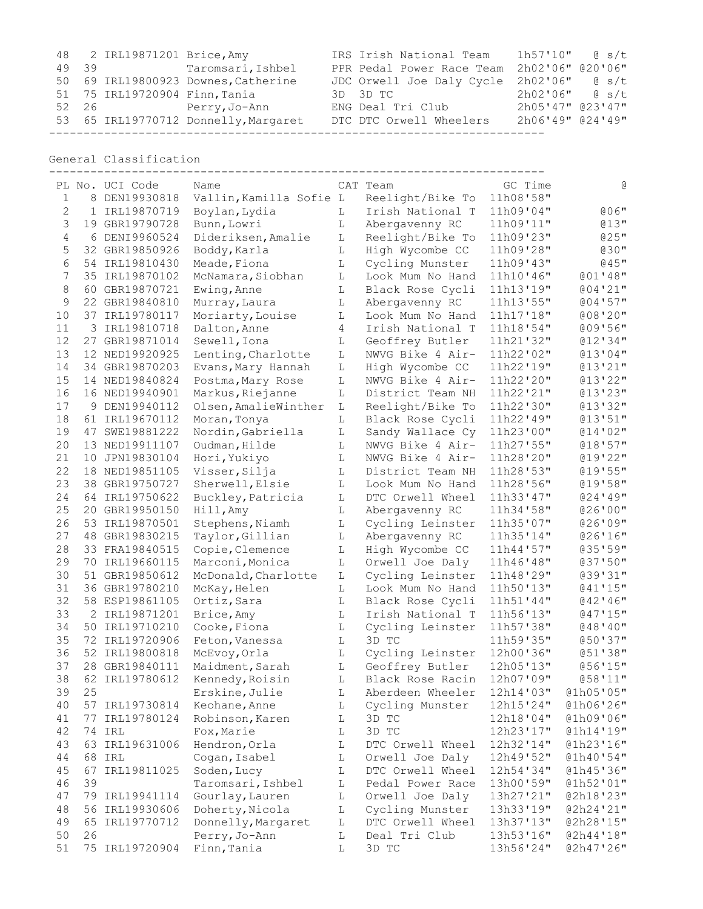|       | 48 2 IRL19871201 Brice, Amy   |                                      | IRS Irish National Team                  | $1h57'10''$ @ s/t |  |
|-------|-------------------------------|--------------------------------------|------------------------------------------|-------------------|--|
| 49 39 |                               | Taromsari, Ishbel                    | PPR Pedal Power Race Team                | 2h02'06" @20'06"  |  |
|       |                               | 50 69 IRL19800923 Downes, Catherine  | JDC Orwell Joe Daly Cycle 2h02'06" @ s/t |                   |  |
|       | 51 75 IRL19720904 Finn, Tania |                                      | 3D 3D TC                                 | $2h02'06''$ $8/t$ |  |
|       |                               | 52 26 Perry, Jo-Ann                  | ENG Deal Tri Club                        | 2h05'47" @23'47"  |  |
|       |                               | 53 65 IRL19770712 Donnelly, Margaret | DTC DTC Orwell Wheelers                  | 2h06'49" @24'49"  |  |
|       |                               |                                      |                                          |                   |  |

General Classification

|                |    | PL No. UCI Code | Name                    |   | CAT Team         | GC Time   | G         |
|----------------|----|-----------------|-------------------------|---|------------------|-----------|-----------|
| 1              |    | 8 DEN19930818   | Vallin, Kamilla Sofie L |   | Reelight/Bike To | 11h08'58" |           |
| 2              |    | 1 IRL19870719   | Boylan, Lydia           | L | Irish National T | 11h09'04" | $006$ "   |
| 3              | 19 | GBR19790728     | Bunn, Lowri             | L | Abergavenny RC   | 11h09'11" | @13"      |
| $\overline{4}$ | 6  | DENI9960524     | Dideriksen, Amalie      | L | Reelight/Bike To | 11h09'23" | @25"      |
| 5              | 32 | GBR19850926     | Boddy, Karla            | L | High Wycombe CC  | 11h09'28" | $030$ "   |
| 6              | 54 | IRL19810430     | Meade, Fiona            | L | Cycling Munster  | 11h09'43" | $045$ "   |
| 7              | 35 | IRL19870102     | McNamara, Siobhan       | L | Look Mum No Hand | 11h10'46" | 001'48''  |
| 8              | 60 | GBR19870721     | Ewing, Anne             | L | Black Rose Cycli | 11h13'19" | 004'21''  |
| 9              | 22 | GBR19840810     | Murray, Laura           | L | Abergavenny RC   | 11h13'55" | 004'57''  |
| 10             | 37 | IRL19780117     | Moriarty, Louise        | L | Look Mum No Hand | 11h17'18" | @08'20"   |
| 11             |    | 3 IRL19810718   | Dalton, Anne            | 4 | Irish National T | 11h18'54" | 009'56"   |
| 12             |    | 27 GBR19871014  | Sewell, Iona            | L | Geoffrey Butler  | 11h21'32" | 012'34''  |
| 13             | 12 | NED19920925     | Lenting, Charlotte      | L | NWVG Bike 4 Air- | 11h22'02" | @13'04"   |
| 14             | 34 | GBR19870203     | Evans, Mary Hannah      | L | High Wycombe CC  | 11h22'19" | 013'21''  |
| 15             |    | 14 NED19840824  | Postma, Mary Rose       | L | NWVG Bike 4 Air- | 11h22'20" | 013'22"   |
| 16             |    | 16 NED19940901  | Markus, Riejanne        | L | District Team NH | 11h22'21" | 013'23''  |
| 17             |    | 9 DEN19940112   | Olsen, AmalieWinther    | L | Reelight/Bike To | 11h22'30" | 013'32"   |
| 18             | 61 | IRL19670112     | Moran, Tonya            | L | Black Rose Cycli | 11h22'49" | 013'51''  |
| 19             | 47 | SWE19881222     | Nordin, Gabriella       | L | Sandy Wallace Cy | 11h23'00" | 014'02''  |
| 20             | 13 | NED19911107     | Oudman, Hilde           | L | NWVG Bike 4 Air- | 11h27'55" | 018'57''  |
| 21             | 10 | JPN19830104     | Hori, Yukiyo            | L | NWVG Bike 4 Air- | 11h28'20" | 019'22"   |
| 22             | 18 | NED19851105     | Visser, Silja           | L | District Team NH | 11h28'53" | 019'55''  |
| 23             | 38 | GBR19750727     | Sherwell, Elsie         | L | Look Mum No Hand | 11h28'56" | @19'58"   |
| 24             |    | 64 IRL19750622  | Buckley, Patricia       | L | DTC Orwell Wheel | 11h33'47" | 024'19''  |
| 25             | 20 | GBR19950150     | Hill, Amy               | L | Abergavenny RC   | 11h34'58" | 026'00''  |
| 26             | 53 | IRL19870501     | Stephens, Niamh         | L | Cycling Leinster | 11h35'07" | 026'09''  |
| 27             | 48 | GBR19830215     | Taylor, Gillian         | L | Abergavenny RC   | 11h35'14" | 026'16''  |
| 28             | 33 | FRA19840515     | Copie, Clemence         | L | High Wycombe CC  | 11h44'57" | 035'59''  |
| 29             | 70 | IRL19660115     | Marconi, Monica         | L | Orwell Joe Daly  | 11h46'48" | 037'50''  |
| 30             | 51 | GBR19850612     | McDonald, Charlotte     | L | Cycling Leinster | 11h48'29" | @39'31"   |
| 31             |    | 36 GBR19780210  | McKay, Helen            | L | Look Mum No Hand | 11h50'13" | 041'15''  |
| 32             |    | 58 ESP19861105  | Ortiz, Sara             | L | Black Rose Cycli | 11h51'44" | @42'46"   |
| 33             |    | 2 IRL19871201   | Brice, Amy              | L | Irish National T | 11h56'13" | 047'15''  |
| 34             | 50 | IRL19710210     | Cooke, Fiona            | L | Cycling Leinster | 11h57'38" | 048'10''  |
| 35             | 72 | IRL19720906     | Feton, Vanessa          | L | 3D TC            | 11h59'35" | @50'37"   |
| 36             | 52 | IRL19800818     | McEvoy, Orla            | L | Cycling Leinster | 12h00'36" | @51'38"   |
| 37             |    | 28 GBR19840111  | Maidment, Sarah         | L | Geoffrey Butler  | 12h05'13" | 056'15"   |
| 38             |    | 62 IRL19780612  | Kennedy, Roisin         | L | Black Rose Racin | 12h07'09" | @58'11"   |
| 39             | 25 |                 | Erskine, Julie          | L | Aberdeen Wheeler | 12h14'03" | @1h05'05" |
| 40             |    | 57 IRL19730814  | Keohane, Anne           | L | Cycling Munster  | 12h15'24" | @1h06'26" |
| 41             |    | 77 IRL19780124  | Robinson, Karen         | L | 3D TC            | 12h18'04" | @1h09'06" |
| 42             |    | 74 IRL          | Fox, Marie              | L | 3D TC            | 12h23'17" | @1h14'19" |
| 43             |    | 63 IRL19631006  | Hendron, Orla           | L | DTC Orwell Wheel | 12h32'14" | @1h23'16" |
| 44             |    | 68 IRL          | Cogan, Isabel           | L | Orwell Joe Daly  | 12h49'52" | @1h40'54" |
| 45             |    | 67 IRL19811025  | Soden, Lucy             | L | DTC Orwell Wheel | 12h54'34" | @1h45'36" |
| 46             | 39 |                 | Taromsari, Ishbel       | L | Pedal Power Race | 13h00'59" | @1h52'01" |
| 47             |    | 79 IRL19941114  | Gourlay, Lauren         | L | Orwell Joe Daly  | 13h27'21" | @2h18'23" |
| 48             |    | 56 IRL19930606  | Doherty, Nicola         | L | Cycling Munster  | 13h33'19" | @2h24'21" |
| 49             |    | 65 IRL19770712  | Donnelly, Margaret      | L | DTC Orwell Wheel | 13h37'13" | @2h28'15" |
| 50             | 26 |                 | Perry, Jo-Ann           | L | Deal Tri Club    | 13h53'16" | @2h44'18" |
| 51             |    | 75 IRL19720904  | Finn, Tania             | L | 3D TC            | 13h56'24" | @2h47'26" |